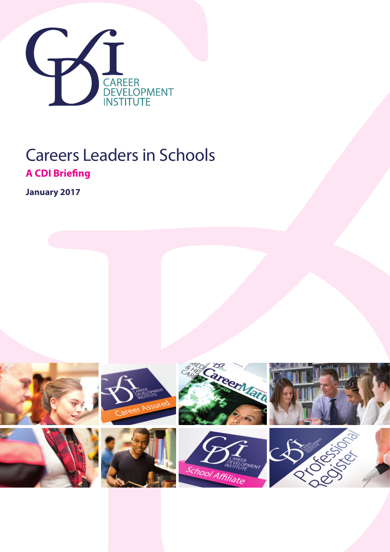

## Careers Leaders in Schools **A CDI Briefing**

**January 2017**

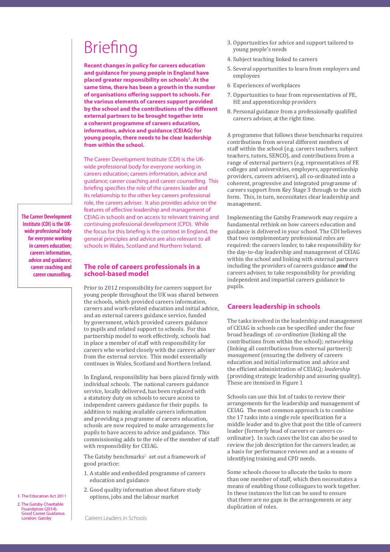# Briefing

**Recent changes in policy for careers education and guidance for young people in England have**  placed greater responsibility on schools<sup>1</sup>. At the **same time, there has been a growth in the number of organisations offering support to schools. For the various elements of careers support provided by the school and the contributions of the different external partners to be brought together into a coherent programme of careers education, information, advice and guidance (CEIAG) for young people, there needs to be clear leadership from within the school.** 

The Career Development Institute (CDI) is the UKwide professional body for everyone working in careers education; careers information, advice and guidance; career coaching and career counselling. This briefing specifies the role of the careers leader and its relationship to the other key careers professional role, the careers adviser. It also provides advice on the features of effective leadership and management of CEIAG in schools and on access to relevant training and continuing professional development (CPD). While the focus for this briefing is the context in England, the general principles and advice are also relevant to all schools in Wales, Scotland and Northern Ireland.

**The Career Development Institute (CDI) is the UKwide professional body for everyone working in careers education; careers information, advice and guidance; career coaching and career counselling.**

## **The role of careers professionals in a school-based model**

Prior to 2012 responsibility for careers support for young people throughout the UK was shared between the schools, which provided careers information, careers and work-related education and initial advice, and an external careers guidance service, funded by government, which provided careers guidance to pupils and related support to schools. For this partnership model to work effectively, schools had in place a member of staff with responsibility for careers who worked closely with the careers adviser from the external service. This model essentially continues in Wales, Scotland and Northern Ireland.

In England, responsibility has been placed firmly with individual schools. The national careers guidance service, locally delivered, has been replaced with a statutory duty on schools to secure access to independent careers guidance for their pupils. In addition to making available careers information and providing a programme of careers education, schools are now required to make arrangements for pupils to have access to advice and guidance. This commissioning adds to the role of the member of staff with responsibility for CEIAG.

The Gatsby benchmarks<sup>2</sup> set out a framework of good practice:

- 1. A stable and embedded programme of careers education and guidance
- 2. Good quality information about future study options, jobs and the labour market
- 3. Opportunities for advice and support tailored to young people's needs
- 4. Subject teaching linked to careers
- 5. Several opportunities to learn from employers and employees
- 6 Experiences of workplaces
- 7. Opportunities to hear from representatives of FE, HE and apprenticeship providers
- 8. Personal guidance from a professionally qualified careers adviser, at the right time.

A programme that follows these benchmarks requires contributions from several different members of staff within the school (e.g. careers teachers, subject teachers, tutors, SENCO), and contributions from a range of external partners (e.g. representatives of FE colleges and universities, employers, apprenticeship providers, careers advisers), all co-ordinated into a coherent, progressive and integrated programme of careers support from Key Stage 3 through to the sixth form. This, in turn, necessitates clear leadership and management.

Implementing the Gatsby Framework may require a fundamental rethink on how careers education and guidance is delivered in your school. The CDI believes that two complementary professional roles are required: the careers leader, to take responsibility for the day-to-day leadership and management of CEIAG within the school and linking with external partners including the providers of careers guidance *and* the careers adviser, to take responsibility for providing independent and impartial careers guidance to pupils.

## **Careers leadership in schools**

The tasks involved in the leadership and management of CEIAG in schools can be specified under the four broad headings of: *co-ordination* (linking all the contributions from within the school); *networking* (linking all contributions from external partners); *management* (ensuring the delivery of careers education and initial information and advice and the efficient administration of CEIAG); *leadership* (providing strategic leadership and assuring quality). These are itemised in Figure 1

Schools can use this list of tasks to review their arrangements for the leadership and management of CEIAG. The most common approach is to combine the 17 tasks into a single role specification for a middle leader and to give that post the title of careers leader (formerly head of careers or careers coordinator). In such cases the list can also be used to review the job description for the careers leader, as a basis for performance reviews and as a means of identifying training and CPD needs.

Some schools choose to allocate the tasks to more than one member of staff, which then necessitates a means of enabling those colleagues to work together. In these instances the list can be used to ensure that there are no gaps in the arrangements or any duplication of roles.

1. The Education Act 2011

2. The Gatsby Charitable Foundation (2014). Good Career Guidance. London: Gatsby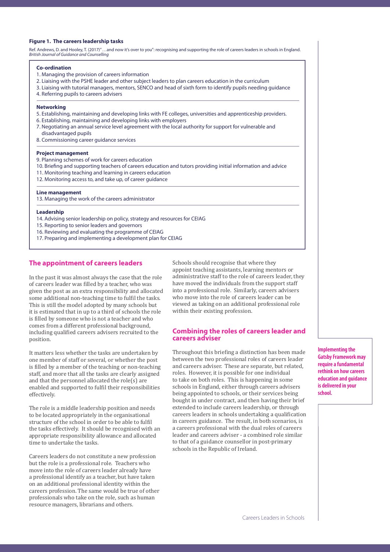#### **Figure 1. The careers leadership tasks**

Ref. Andrews, D. and Hooley, T. (2017)" …and now it's over to you": recognising and supporting the role of careers leaders in schools in England. *British Journal of Guidance and Counselling*

#### **Co-ordination**

- 1. Managing the provision of careers information
- 2. Liaising with the PSHE leader and other subject leaders to plan careers education in the curriculum
- 3. Liaising with tutorial managers, mentors, SENCO and head of sixth form to identify pupils needing guidance
- 4. Referring pupils to careers advisers

#### **Networking**

- 5. Establishing, maintaining and developing links with FE colleges, universities and apprenticeship providers.
- 6. Establishing, maintaining and developing links with employers
- 7. Negotiating an annual service level agreement with the local authority for support for vulnerable and disadvantaged pupils
- 8. Commissioning career guidance services

#### **Project management**

- 9. Planning schemes of work for careers education
- 10. Briefing and supporting teachers of careers education and tutors providing initial information and advice
- 11. Monitoring teaching and learning in careers education
- 12. Monitoring access to, and take up, of career guidance

#### **Line management**

13. Managing the work of the careers administrator

#### **Leadership**

- 14. Advising senior leadership on policy, strategy and resources for CEIAG
- 15. Reporting to senior leaders and governors
- 16. Reviewing and evaluating the programme of CEIAG
- 17. Preparing and implementing a development plan for CEIAG

## **The appointment of careers leaders**

In the past it was almost always the case that the role of careers leader was filled by a teacher, who was given the post as an extra responsibility and allocated some additional non-teaching time to fulfil the tasks. This is still the model adopted by many schools but it is estimated that in up to a third of schools the role is filled by someone who is not a teacher and who comes from a different professional background, including qualified careers advisers recruited to the position.

It matters less whether the tasks are undertaken by one member of staff or several, or whether the post is filled by a member of the teaching or non-teaching staff, and more that all the tasks are clearly assigned and that the personnel allocated the role(s) are enabled and supported to fulfil their responsibilities effectively.

The role is a middle leadership position and needs to be located appropriately in the organisational structure of the school in order to be able to fulfil the tasks effectively. It should be recognised with an appropriate responsibility allowance and allocated time to undertake the tasks.

Careers leaders do not constitute a new profession but the role is a professional role. Teachers who move into the role of careers leader already have a professional identify as a teacher, but have taken on an additional professional identity within the careers profession. The same would be true of other professionals who take on the role, such as human resource managers, librarians and others.

Schools should recognise that where they appoint teaching assistants, learning mentors or administrative staff to the role of careers leader, they have moved the individuals from the support staff into a professional role. Similarly, careers advisers who move into the role of careers leader can be viewed as taking on an additional professional role within their existing profession.

## **Combining the roles of careers leader and careers adviser**

Throughout this briefing a distinction has been made between the two professional roles of careers leader and careers adviser. These are separate, but related, roles. However, it is possible for one individual to take on both roles. This is happening in some schools in England, either through careers advisers being appointed to schools, or their services being bought in under contract, and then having their brief extended to include careers leadership, or through careers leaders in schools undertaking a qualification in careers guidance. The result, in both scenarios, is a careers professional with the dual roles of careers leader and careers adviser - a combined role similar to that of a guidance counsellor in post-primary schools in the Republic of Ireland.

**Implementing the Gatsby Framework may require a fundamental rethink on how careers education and guidance is delivered in your school.**